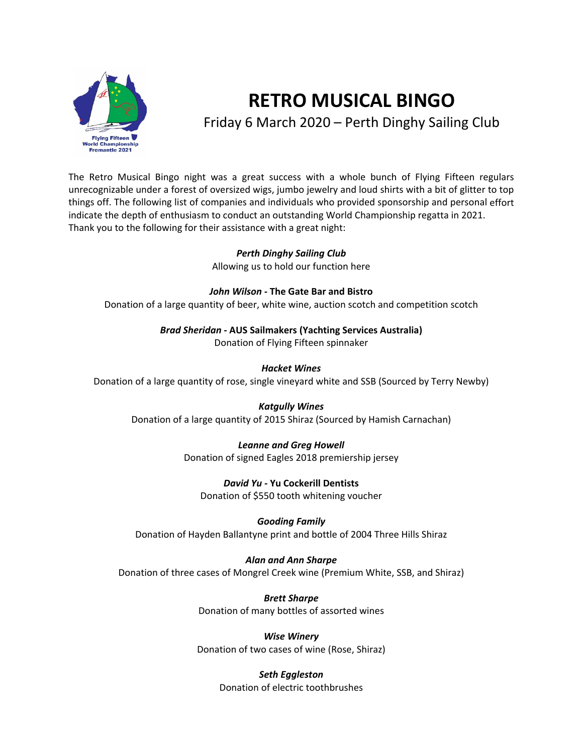

# **RETRO MUSICAL BINGO** Friday 6 March 2020 – Perth Dinghy Sailing Club

The Retro Musical Bingo night was a great success with a whole bunch of Flying Fifteen regulars unrecognizable under a forest of oversized wigs, jumbo jewelry and loud shirts with a bit of glitter to top things off. The following list of companies and individuals who provided sponsorship and personal effort indicate the depth of enthusiasm to conduct an outstanding World Championship regatta in 2021. Thank you to the following for their assistance with a great night:

# *Perth Dinghy Sailing Club*

Allowing us to hold our function here

#### *John Wilson ‐* **The Gate Bar and Bistro**

Donation of a large quantity of beer, white wine, auction scotch and competition scotch

*Brad Sheridan ‐* **AUS Sailmakers (Yachting Services Australia)**

Donation of Flying Fifteen spinnaker

# *Hacket Wines*

Donation of a large quantity of rose, single vineyard white and SSB (Sourced by Terry Newby)

# *Katgully Wines*

Donation of a large quantity of 2015 Shiraz (Sourced by Hamish Carnachan)

# *Leanne and Greg Howell*

Donation of signed Eagles 2018 premiership jersey

# *David Yu ‐* **Yu Cockerill Dentists**

Donation of \$550 tooth whitening voucher

#### *Gooding Family* Donation of Hayden Ballantyne print and bottle of 2004 Three Hills Shiraz

#### *Alan and Ann Sharpe* Donation of three cases of Mongrel Creek wine (Premium White, SSB, and Shiraz)

*Brett Sharpe* Donation of many bottles of assorted wines

*Wise Winery* Donation of two cases of wine (Rose, Shiraz)

#### *Seth Eggleston*

Donation of electric toothbrushes